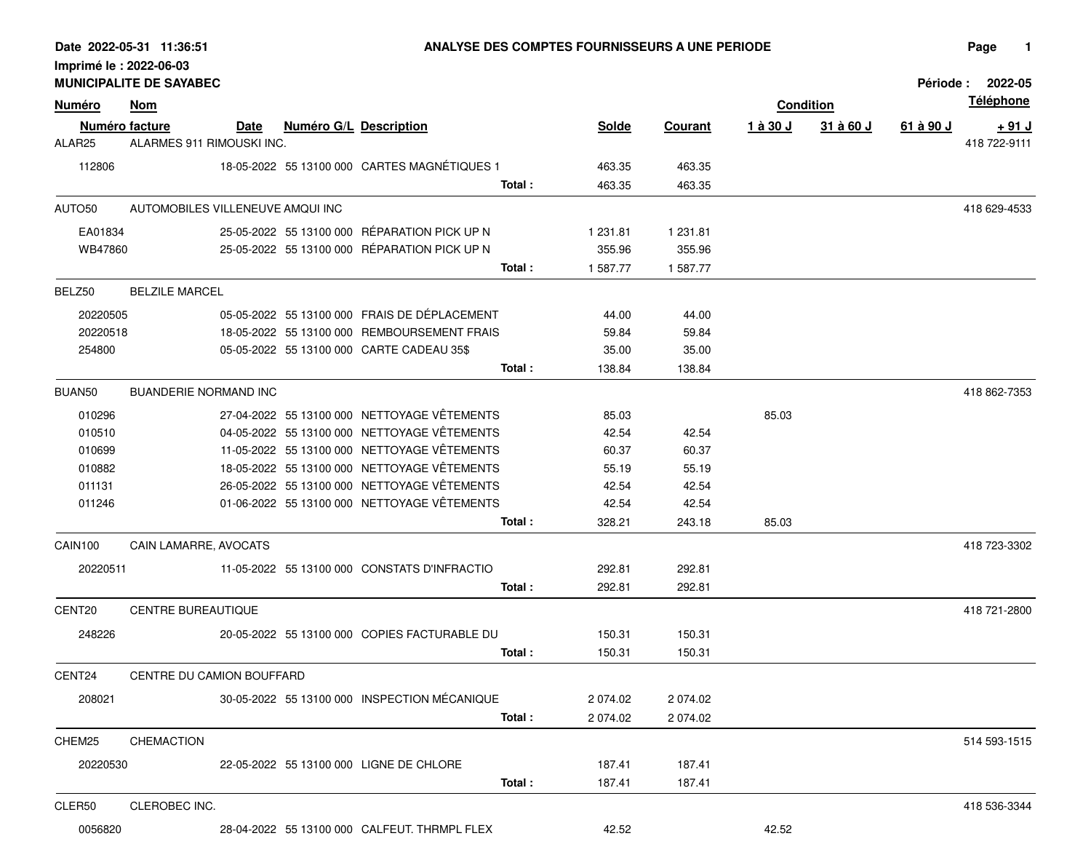| Imprimé le : 2022-06-03 | <b>MUNICIPALITE DE SAYABEC</b>              |      |                               |                                              |              |          |                  |           | <b>Période :</b> | 2022-05                |
|-------------------------|---------------------------------------------|------|-------------------------------|----------------------------------------------|--------------|----------|------------------|-----------|------------------|------------------------|
| <u>Numéro</u>           | <u>Nom</u>                                  |      |                               |                                              |              |          | <b>Condition</b> |           |                  | <b>Téléphone</b>       |
| ALAR25                  | Numéro facture<br>ALARMES 911 RIMOUSKI INC. | Date | <b>Numéro G/L Description</b> |                                              | <b>Solde</b> | Courant  | 1 à 30 J         | 31 à 60 J | 61 à 90 J        | + 91 J<br>418 722-9111 |
| 112806                  |                                             |      |                               | 18-05-2022 55 13100 000 CARTES MAGNÉTIQUES 1 | 463.35       | 463.35   |                  |           |                  |                        |
|                         |                                             |      |                               | Total:                                       | 463.35       | 463.35   |                  |           |                  |                        |
| AUTO50                  | AUTOMOBILES VILLENEUVE AMQUI INC            |      |                               |                                              |              |          |                  |           |                  | 418 629-4533           |
| EA01834                 |                                             |      |                               | 25-05-2022 55 13100 000 RÉPARATION PICK UP N | 1 231.81     | 1 231.81 |                  |           |                  |                        |
| WB47860                 |                                             |      |                               | 25-05-2022 55 13100 000 RÉPARATION PICK UP N | 355.96       | 355.96   |                  |           |                  |                        |
|                         |                                             |      |                               | Total:                                       | 1 587.77     | 1 587.77 |                  |           |                  |                        |
| BELZ50                  | <b>BELZILE MARCEL</b>                       |      |                               |                                              |              |          |                  |           |                  |                        |
| 20220505                |                                             |      |                               | 05-05-2022 55 13100 000 FRAIS DE DÉPLACEMENT | 44.00        | 44.00    |                  |           |                  |                        |
| 20220518                |                                             |      |                               | 18-05-2022 55 13100 000 REMBOURSEMENT FRAIS  | 59.84        | 59.84    |                  |           |                  |                        |
| 254800                  |                                             |      |                               | 05-05-2022 55 13100 000 CARTE CADEAU 35\$    | 35.00        | 35.00    |                  |           |                  |                        |
|                         |                                             |      |                               | Total:                                       | 138.84       | 138.84   |                  |           |                  |                        |
| BUAN50                  | BUANDERIE NORMAND INC                       |      |                               |                                              |              |          |                  |           |                  | 418 862-7353           |
| 010296                  |                                             |      |                               | 27-04-2022 55 13100 000 NETTOYAGE VÊTEMENTS  | 85.03        |          | 85.03            |           |                  |                        |
| 010510                  |                                             |      |                               | 04-05-2022 55 13100 000 NETTOYAGE VÊTEMENTS  | 42.54        | 42.54    |                  |           |                  |                        |
| 010699                  |                                             |      |                               | 11-05-2022 55 13100 000 NETTOYAGE VÊTEMENTS  | 60.37        | 60.37    |                  |           |                  |                        |
| 010882                  |                                             |      |                               | 18-05-2022 55 13100 000 NETTOYAGE VÊTEMENTS  | 55.19        | 55.19    |                  |           |                  |                        |
| 011131                  |                                             |      |                               | 26-05-2022 55 13100 000 NETTOYAGE VÊTEMENTS  | 42.54        | 42.54    |                  |           |                  |                        |
| 011246                  |                                             |      |                               | 01-06-2022 55 13100 000 NETTOYAGE VÊTEMENTS  | 42.54        | 42.54    |                  |           |                  |                        |
|                         |                                             |      |                               | Total:                                       | 328.21       | 243.18   | 85.03            |           |                  |                        |
| CAIN100                 | CAIN LAMARRE, AVOCATS                       |      |                               |                                              |              |          |                  |           |                  | 418 723-3302           |
| 20220511                |                                             |      |                               | 11-05-2022 55 13100 000 CONSTATS D'INFRACTIO | 292.81       | 292.81   |                  |           |                  |                        |
|                         |                                             |      |                               | Total:                                       | 292.81       | 292.81   |                  |           |                  |                        |
| CENT20                  | <b>CENTRE BUREAUTIQUE</b>                   |      |                               |                                              |              |          |                  |           |                  | 418 721-2800           |
| 248226                  |                                             |      |                               | 20-05-2022 55 13100 000 COPIES FACTURABLE DU | 150.31       | 150.31   |                  |           |                  |                        |
|                         |                                             |      |                               | Total:                                       | 150.31       | 150.31   |                  |           |                  |                        |
| CENT24                  | CENTRE DU CAMION BOUFFARD                   |      |                               |                                              |              |          |                  |           |                  |                        |
| 208021                  |                                             |      |                               | 30-05-2022 55 13100 000 INSPECTION MÉCANIQUE | 2 0 74 0 2   | 2 074.02 |                  |           |                  |                        |
|                         |                                             |      |                               | Total:                                       | 2 074.02     | 2 074.02 |                  |           |                  |                        |
| CHEM25                  | <b>CHEMACTION</b>                           |      |                               |                                              |              |          |                  |           |                  | 514 593-1515           |
| 20220530                |                                             |      |                               | 22-05-2022 55 13100 000 LIGNE DE CHLORE      | 187.41       | 187.41   |                  |           |                  |                        |
|                         |                                             |      |                               | Total:                                       | 187.41       | 187.41   |                  |           |                  |                        |
|                         | CLEROBEC INC.                               |      |                               |                                              |              |          |                  |           |                  |                        |
| CLER50                  |                                             |      |                               |                                              |              |          |                  |           |                  | 418 536-3344           |

**2022-05-31 11:36:51 ANALYSE DES COMPTES FOURNISSEURS A UNE PERIODE**

Date 2022-05-31 11:36:51

0056820 28-04-2022 55 13100 000 CALFEUT. THRMPL FLEX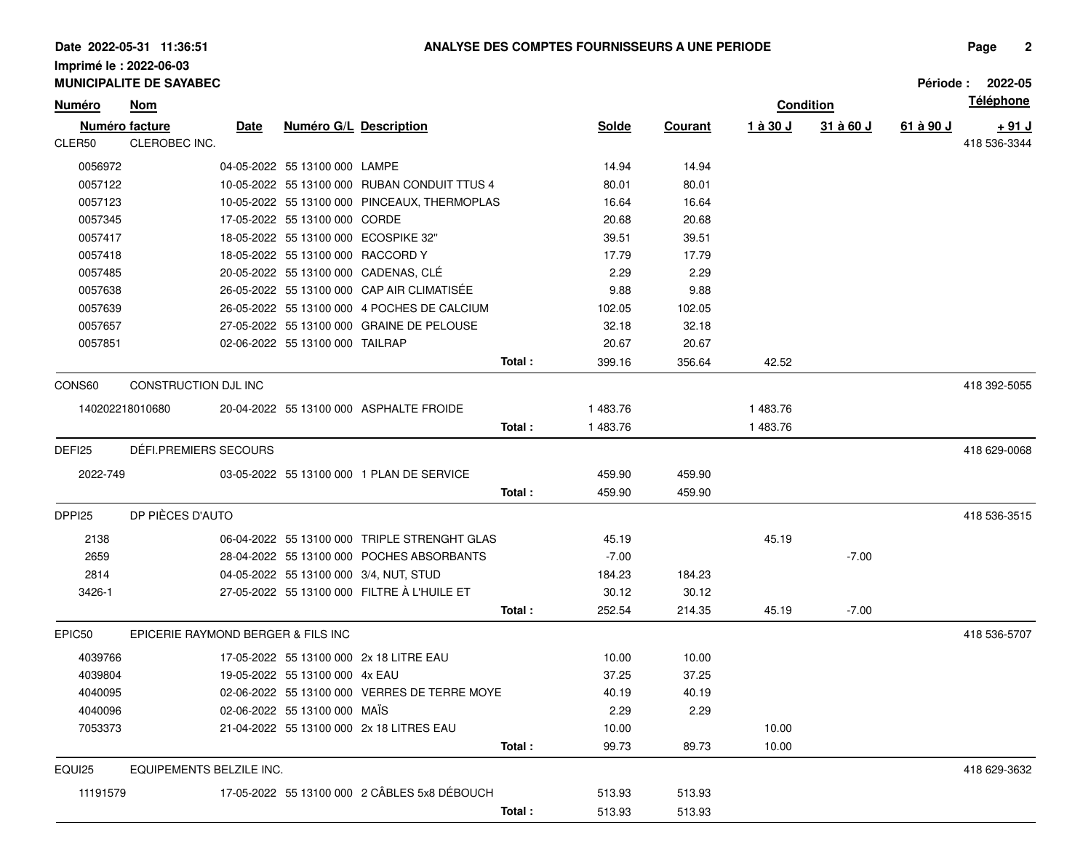|          | <b>MUNICIPALITE DE SAYABEC</b>     |      |                                   |                                              |        |              |                |          |                  | <b>Période :</b> | 2022-05          |
|----------|------------------------------------|------|-----------------------------------|----------------------------------------------|--------|--------------|----------------|----------|------------------|------------------|------------------|
| Numéro   | <b>Nom</b>                         |      |                                   |                                              |        |              |                |          | <b>Condition</b> |                  | <b>Téléphone</b> |
|          | Numéro facture                     | Date | Numéro G/L Description            |                                              |        | <b>Solde</b> | <b>Courant</b> | 1 à 30 J | 31 à 60 J        | 61 à 90 J        | <u>+ 91 J</u>    |
| CLER50   | CLEROBEC INC.                      |      |                                   |                                              |        |              |                |          |                  |                  | 418 536-3344     |
| 0056972  |                                    |      | 04-05-2022 55 13100 000 LAMPE     |                                              |        | 14.94        | 14.94          |          |                  |                  |                  |
| 0057122  |                                    |      |                                   | 10-05-2022 55 13100 000 RUBAN CONDUIT TTUS 4 |        | 80.01        | 80.01          |          |                  |                  |                  |
| 0057123  |                                    |      |                                   | 10-05-2022 55 13100 000 PINCEAUX, THERMOPLAS |        | 16.64        | 16.64          |          |                  |                  |                  |
| 0057345  |                                    |      | 17-05-2022 55 13100 000 CORDE     |                                              |        | 20.68        | 20.68          |          |                  |                  |                  |
| 0057417  |                                    |      |                                   | 18-05-2022 55 13100 000 ECOSPIKE 32"         |        | 39.51        | 39.51          |          |                  |                  |                  |
| 0057418  |                                    |      | 18-05-2022 55 13100 000 RACCORD Y |                                              |        | 17.79        | 17.79          |          |                  |                  |                  |
| 0057485  |                                    |      |                                   | 20-05-2022 55 13100 000 CADENAS, CLÉ         |        | 2.29         | 2.29           |          |                  |                  |                  |
| 0057638  |                                    |      |                                   | 26-05-2022 55 13100 000 CAP AIR CLIMATISÉE   |        | 9.88         | 9.88           |          |                  |                  |                  |
| 0057639  |                                    |      |                                   | 26-05-2022 55 13100 000 4 POCHES DE CALCIUM  |        | 102.05       | 102.05         |          |                  |                  |                  |
| 0057657  |                                    |      |                                   | 27-05-2022 55 13100 000 GRAINE DE PELOUSE    |        | 32.18        | 32.18          |          |                  |                  |                  |
| 0057851  |                                    |      | 02-06-2022 55 13100 000 TAILRAP   |                                              |        | 20.67        | 20.67          |          |                  |                  |                  |
|          |                                    |      |                                   |                                              | Total: | 399.16       | 356.64         | 42.52    |                  |                  |                  |
| CONS60   | CONSTRUCTION DJL INC               |      |                                   |                                              |        |              |                |          |                  |                  | 418 392-5055     |
|          | 140202218010680                    |      |                                   | 20-04-2022 55 13100 000 ASPHALTE FROIDE      |        | 1483.76      |                | 1483.76  |                  |                  |                  |
|          |                                    |      |                                   |                                              | Total: | 1483.76      |                | 1483.76  |                  |                  |                  |
| DEFI25   | DÉFI.PREMIERS SECOURS              |      |                                   |                                              |        |              |                |          |                  |                  | 418 629-0068     |
| 2022-749 |                                    |      |                                   | 03-05-2022 55 13100 000 1 PLAN DE SERVICE    |        | 459.90       | 459.90         |          |                  |                  |                  |
|          |                                    |      |                                   |                                              | Total: | 459.90       | 459.90         |          |                  |                  |                  |
|          |                                    |      |                                   |                                              |        |              |                |          |                  |                  |                  |
| DPPI25   | DP PIÈCES D'AUTO                   |      |                                   |                                              |        |              |                |          |                  |                  | 418 536-3515     |
| 2138     |                                    |      |                                   | 06-04-2022 55 13100 000 TRIPLE STRENGHT GLAS |        | 45.19        |                | 45.19    |                  |                  |                  |
| 2659     |                                    |      |                                   | 28-04-2022 55 13100 000 POCHES ABSORBANTS    |        | $-7.00$      |                |          | $-7.00$          |                  |                  |
| 2814     |                                    |      |                                   | 04-05-2022 55 13100 000 3/4, NUT, STUD       |        | 184.23       | 184.23         |          |                  |                  |                  |
| 3426-1   |                                    |      |                                   | 27-05-2022 55 13100 000 FILTRE À L'HUILE ET  |        | 30.12        | 30.12          |          |                  |                  |                  |
|          |                                    |      |                                   |                                              | Total: | 252.54       | 214.35         | 45.19    | $-7.00$          |                  |                  |
| EPIC50   | EPICERIE RAYMOND BERGER & FILS INC |      |                                   |                                              |        |              |                |          |                  |                  | 418 536-5707     |
| 4039766  |                                    |      |                                   | 17-05-2022 55 13100 000 2x 18 LITRE EAU      |        | 10.00        | 10.00          |          |                  |                  |                  |
| 4039804  |                                    |      | 19-05-2022 55 13100 000 4x EAU    |                                              |        | 37.25        | 37.25          |          |                  |                  |                  |
| 4040095  |                                    |      |                                   | 02-06-2022 55 13100 000 VERRES DE TERRE MOYE |        | 40.19        | 40.19          |          |                  |                  |                  |
| 4040096  |                                    |      | 02-06-2022 55 13100 000 MAIS      |                                              |        | 2.29         | 2.29           |          |                  |                  |                  |
| 7053373  |                                    |      |                                   | 21-04-2022 55 13100 000 2x 18 LITRES EAU     |        | 10.00        |                | 10.00    |                  |                  |                  |
|          |                                    |      |                                   |                                              | Total: | 99.73        | 89.73          | 10.00    |                  |                  |                  |
| EQUI25   | EQUIPEMENTS BELZILE INC.           |      |                                   |                                              |        |              |                |          |                  |                  | 418 629-3632     |
| 11191579 |                                    |      |                                   | 17-05-2022 55 13100 000 2 CÂBLES 5x8 DÉBOUCH |        | 513.93       | 513.93         |          |                  |                  |                  |
|          |                                    |      |                                   |                                              | Total: | 513.93       | 513.93         |          |                  |                  |                  |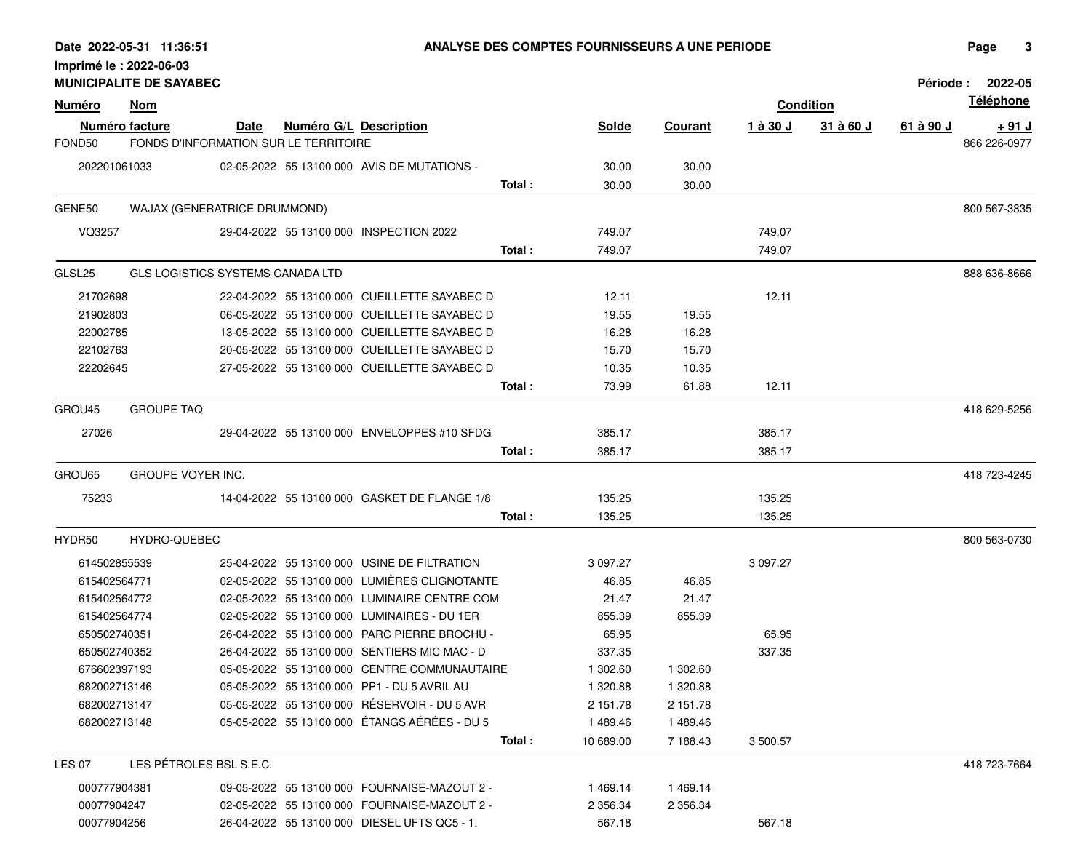|               | <b>MUNICIPALITE DE SAYABEC</b> |                                       |                               |                                              |         |              |                |          |                  |           | Période: 2022-05 |
|---------------|--------------------------------|---------------------------------------|-------------------------------|----------------------------------------------|---------|--------------|----------------|----------|------------------|-----------|------------------|
| <u>Numéro</u> | <b>Nom</b>                     |                                       |                               |                                              |         |              |                |          | <b>Condition</b> |           | <b>Téléphone</b> |
|               | <b>Numéro facture</b>          | Date                                  | <b>Numéro G/L Description</b> |                                              |         | <b>Solde</b> | <b>Courant</b> | 1 à 30 J | 31 à 60 J        | 61 à 90 J | <u>+ 91 J</u>    |
| FOND50        |                                | FONDS D'INFORMATION SUR LE TERRITOIRE |                               |                                              |         |              |                |          |                  |           | 866 226-0977     |
| 202201061033  |                                |                                       |                               | 02-05-2022 55 13100 000 AVIS DE MUTATIONS -  |         | 30.00        | 30.00          |          |                  |           |                  |
|               |                                |                                       |                               |                                              | Total:  | 30.00        | 30.00          |          |                  |           |                  |
| GENE50        |                                | WAJAX (GENERATRICE DRUMMOND)          |                               |                                              |         |              |                |          |                  |           | 800 567-3835     |
| VQ3257        |                                |                                       |                               | 29-04-2022 55 13100 000 INSPECTION 2022      |         | 749.07       |                | 749.07   |                  |           |                  |
|               |                                |                                       |                               |                                              | Total : | 749.07       |                | 749.07   |                  |           |                  |
| GLSL25        |                                | GLS LOGISTICS SYSTEMS CANADA LTD      |                               |                                              |         |              |                |          |                  |           | 888 636-8666     |
| 21702698      |                                |                                       |                               | 22-04-2022 55 13100 000 CUEILLETTE SAYABEC D |         | 12.11        |                | 12.11    |                  |           |                  |
| 21902803      |                                |                                       |                               | 06-05-2022 55 13100 000 CUEILLETTE SAYABEC D |         | 19.55        | 19.55          |          |                  |           |                  |
| 22002785      |                                |                                       |                               | 13-05-2022 55 13100 000 CUEILLETTE SAYABEC D |         | 16.28        | 16.28          |          |                  |           |                  |
| 22102763      |                                |                                       |                               | 20-05-2022 55 13100 000 CUEILLETTE SAYABEC D |         | 15.70        | 15.70          |          |                  |           |                  |
| 22202645      |                                |                                       |                               | 27-05-2022 55 13100 000 CUEILLETTE SAYABEC D |         | 10.35        | 10.35          |          |                  |           |                  |
|               |                                |                                       |                               |                                              | Total:  | 73.99        | 61.88          | 12.11    |                  |           |                  |
| GROU45        | <b>GROUPE TAQ</b>              |                                       |                               |                                              |         |              |                |          |                  |           | 418 629-5256     |
|               |                                |                                       |                               |                                              |         |              |                |          |                  |           |                  |
| 27026         |                                |                                       |                               | 29-04-2022 55 13100 000 ENVELOPPES #10 SFDG  |         | 385.17       |                | 385.17   |                  |           |                  |
|               |                                |                                       |                               |                                              | Total:  | 385.17       |                | 385.17   |                  |           |                  |
| GROU65        | GROUPE VOYER INC.              |                                       |                               |                                              |         |              |                |          |                  |           | 418 723-4245     |
| 75233         |                                |                                       |                               | 14-04-2022 55 13100 000 GASKET DE FLANGE 1/8 |         | 135.25       |                | 135.25   |                  |           |                  |
|               |                                |                                       |                               |                                              | Total:  | 135.25       |                | 135.25   |                  |           |                  |
| HYDR50        | HYDRO-QUEBEC                   |                                       |                               |                                              |         |              |                |          |                  |           | 800 563-0730     |
| 614502855539  |                                |                                       |                               | 25-04-2022 55 13100 000 USINE DE FILTRATION  |         | 3 097.27     |                | 3 097.27 |                  |           |                  |
| 615402564771  |                                |                                       |                               | 02-05-2022 55 13100 000 LUMIÈRES CLIGNOTANTE |         | 46.85        | 46.85          |          |                  |           |                  |
| 615402564772  |                                |                                       |                               | 02-05-2022 55 13100 000 LUMINAIRE CENTRE COM |         | 21.47        | 21.47          |          |                  |           |                  |
| 615402564774  |                                |                                       |                               | 02-05-2022 55 13100 000 LUMINAIRES - DU 1ER  |         | 855.39       | 855.39         |          |                  |           |                  |
| 650502740351  |                                |                                       |                               | 26-04-2022 55 13100 000 PARC PIERRE BROCHU - |         | 65.95        |                | 65.95    |                  |           |                  |
| 650502740352  |                                |                                       |                               | 26-04-2022 55 13100 000 SENTIERS MIC MAC - D |         | 337.35       |                | 337.35   |                  |           |                  |
| 676602397193  |                                |                                       |                               | 05-05-2022 55 13100 000 CENTRE COMMUNAUTAIRE |         | 1 302.60     | 1 302.60       |          |                  |           |                  |
| 682002713146  |                                |                                       |                               | 05-05-2022 55 13100 000 PP1 - DU 5 AVRIL AU  |         | 1 320.88     | 1 320.88       |          |                  |           |                  |
| 682002713147  |                                |                                       |                               | 05-05-2022 55 13100 000 RÉSERVOIR - DU 5 AVR |         | 2 151.78     | 2 151.78       |          |                  |           |                  |
| 682002713148  |                                |                                       |                               | 05-05-2022 55 13100 000 ÉTANGS AÉRÉES - DU 5 |         | 1489.46      | 1489.46        |          |                  |           |                  |
|               |                                |                                       |                               |                                              | Total:  | 10 689.00    | 7 188.43       | 3 500.57 |                  |           |                  |
| <b>LES 07</b> |                                | LES PÉTROLES BSL S.E.C.               |                               |                                              |         |              |                |          |                  |           | 418 723-7664     |
| 000777904381  |                                |                                       |                               | 09-05-2022 55 13100 000 FOURNAISE-MAZOUT 2 - |         | 1469.14      | 1469.14        |          |                  |           |                  |
| 00077904247   |                                |                                       |                               | 02-05-2022 55 13100 000 FOURNAISE-MAZOUT 2 - |         | 2 356.34     | 2 356.34       |          |                  |           |                  |
| 00077904256   |                                |                                       |                               | 26-04-2022 55 13100 000 DIESEL UFTS QC5 - 1. |         | 567.18       |                | 567.18   |                  |           |                  |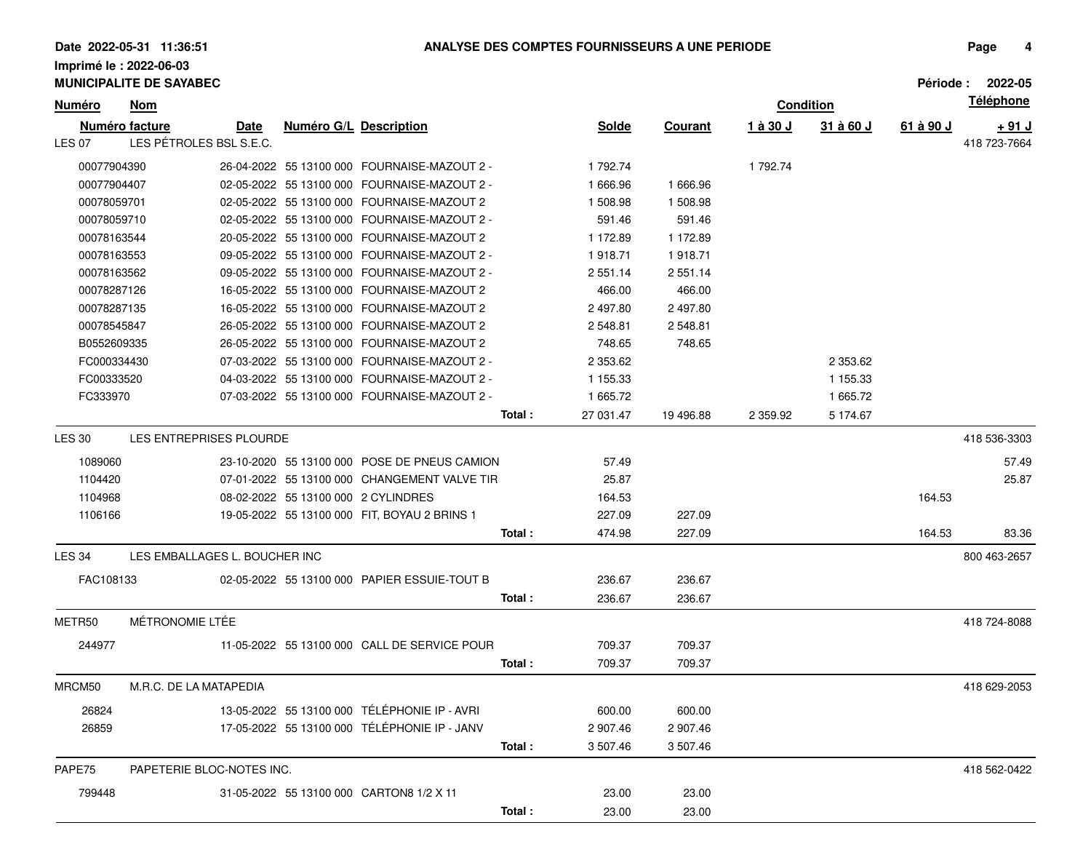|               |             | <b>MUNICIPALITE DE SAYABEC</b> |                           |                        |                                              |                      |                |          |                  |           | Période: 2022-05 |
|---------------|-------------|--------------------------------|---------------------------|------------------------|----------------------------------------------|----------------------|----------------|----------|------------------|-----------|------------------|
| <u>Numéro</u> |             | <b>Nom</b>                     |                           |                        |                                              |                      |                |          | <b>Condition</b> |           | <b>Téléphone</b> |
|               |             | Numéro facture                 | <u>Date</u>               | Numéro G/L Description |                                              | <b>Solde</b>         | <b>Courant</b> | 1 à 30 J | 31 à 60 J        | 61 à 90 J | <u>+ 91 J</u>    |
| <b>LES 07</b> |             | LES PÉTROLES BSL S.E.C.        |                           |                        |                                              |                      |                |          |                  |           | 418 723-7664     |
|               | 00077904390 |                                |                           |                        | 26-04-2022 55 13100 000 FOURNAISE-MAZOUT 2 - | 1 792.74             |                | 1 792.74 |                  |           |                  |
|               | 00077904407 |                                |                           |                        | 02-05-2022 55 13100 000 FOURNAISE-MAZOUT 2 - | 1 666.96             | 1666.96        |          |                  |           |                  |
|               | 00078059701 |                                |                           |                        | 02-05-2022 55 13100 000 FOURNAISE-MAZOUT 2   | 1 508.98             | 1 508.98       |          |                  |           |                  |
|               | 00078059710 |                                |                           |                        | 02-05-2022 55 13100 000 FOURNAISE-MAZOUT 2 - | 591.46               | 591.46         |          |                  |           |                  |
|               | 00078163544 |                                |                           |                        | 20-05-2022 55 13100 000 FOURNAISE-MAZOUT 2   | 1 172.89             | 1 172.89       |          |                  |           |                  |
|               | 00078163553 |                                |                           |                        | 09-05-2022 55 13100 000 FOURNAISE-MAZOUT 2 - | 1918.71              | 1918.71        |          |                  |           |                  |
|               | 00078163562 |                                |                           |                        | 09-05-2022 55 13100 000 FOURNAISE-MAZOUT 2 - | 2 551.14             | 2 551.14       |          |                  |           |                  |
|               | 00078287126 |                                |                           |                        | 16-05-2022 55 13100 000 FOURNAISE-MAZOUT 2   | 466.00               | 466.00         |          |                  |           |                  |
|               | 00078287135 |                                |                           |                        | 16-05-2022 55 13100 000 FOURNAISE-MAZOUT 2   | 2 497.80             | 2 497.80       |          |                  |           |                  |
|               | 00078545847 |                                |                           |                        | 26-05-2022 55 13100 000 FOURNAISE-MAZOUT 2   | 2 548.81             | 2 548.81       |          |                  |           |                  |
|               | B0552609335 |                                |                           |                        | 26-05-2022 55 13100 000 FOURNAISE-MAZOUT 2   | 748.65               | 748.65         |          |                  |           |                  |
|               | FC000334430 |                                |                           |                        | 07-03-2022 55 13100 000 FOURNAISE-MAZOUT 2 - | 2 353.62             |                |          | 2 353.62         |           |                  |
|               | FC00333520  |                                |                           |                        | 04-03-2022 55 13100 000 FOURNAISE-MAZOUT 2 - | 1 155.33             |                |          | 1 155.33         |           |                  |
|               | FC333970    |                                |                           |                        | 07-03-2022 55 13100 000 FOURNAISE-MAZOUT 2 - | 1 665.72             |                |          | 1 665.72         |           |                  |
|               |             |                                |                           |                        |                                              | Total :<br>27 031.47 | 19 49 6.88     | 2 359.92 | 5 174.67         |           |                  |
| LES 30        |             | LES ENTREPRISES PLOURDE        |                           |                        |                                              |                      |                |          |                  |           | 418 536-3303     |
|               | 1089060     |                                |                           |                        | 23-10-2020 55 13100 000 POSE DE PNEUS CAMION | 57.49                |                |          |                  |           | 57.49            |
|               | 1104420     |                                |                           |                        | 07-01-2022 55 13100 000 CHANGEMENT VALVE TIR | 25.87                |                |          |                  |           | 25.87            |
|               | 1104968     |                                |                           |                        | 08-02-2022 55 13100 000 2 CYLINDRES          | 164.53               |                |          |                  | 164.53    |                  |
|               | 1106166     |                                |                           |                        | 19-05-2022 55 13100 000 FIT, BOYAU 2 BRINS 1 | 227.09               | 227.09         |          |                  |           |                  |
|               |             |                                |                           |                        |                                              | Total:<br>474.98     | 227.09         |          |                  | 164.53    | 83.36            |
| <b>LES 34</b> |             | LES EMBALLAGES L. BOUCHER INC  |                           |                        |                                              |                      |                |          |                  |           | 800 463-2657     |
|               | FAC108133   |                                |                           |                        | 02-05-2022 55 13100 000 PAPIER ESSUIE-TOUT B | 236.67               | 236.67         |          |                  |           |                  |
|               |             |                                |                           |                        |                                              | Total:<br>236.67     | 236.67         |          |                  |           |                  |
|               |             |                                |                           |                        |                                              |                      |                |          |                  |           |                  |
| METR50        |             | MÉTRONOMIE LTÉE                |                           |                        |                                              |                      |                |          |                  |           | 418 724-8088     |
|               | 244977      |                                |                           |                        | 11-05-2022 55 13100 000 CALL DE SERVICE POUR | 709.37               | 709.37         |          |                  |           |                  |
|               |             |                                |                           |                        |                                              | Total:<br>709.37     | 709.37         |          |                  |           |                  |
| MRCM50        |             | M.R.C. DE LA MATAPEDIA         |                           |                        |                                              |                      |                |          |                  |           | 418 629-2053     |
|               | 26824       |                                |                           |                        | 13-05-2022 55 13100 000 TÉLÉPHONIE IP - AVRI | 600.00               | 600.00         |          |                  |           |                  |
|               | 26859       |                                |                           |                        | 17-05-2022 55 13100 000 TÉLÉPHONIE IP - JANV | 2 907.46             | 2 907.46       |          |                  |           |                  |
|               |             |                                |                           |                        |                                              | Total:<br>3 507.46   | 3 507.46       |          |                  |           |                  |
| PAPE75        |             |                                | PAPETERIE BLOC-NOTES INC. |                        |                                              |                      |                |          |                  |           | 418 562-0422     |
|               |             |                                |                           |                        |                                              |                      |                |          |                  |           |                  |
|               | 799448      |                                |                           |                        | 31-05-2022 55 13100 000 CARTON8 1/2 X 11     | 23.00                | 23.00          |          |                  |           |                  |
|               |             |                                |                           |                        |                                              | Total:<br>23.00      | 23.00          |          |                  |           |                  |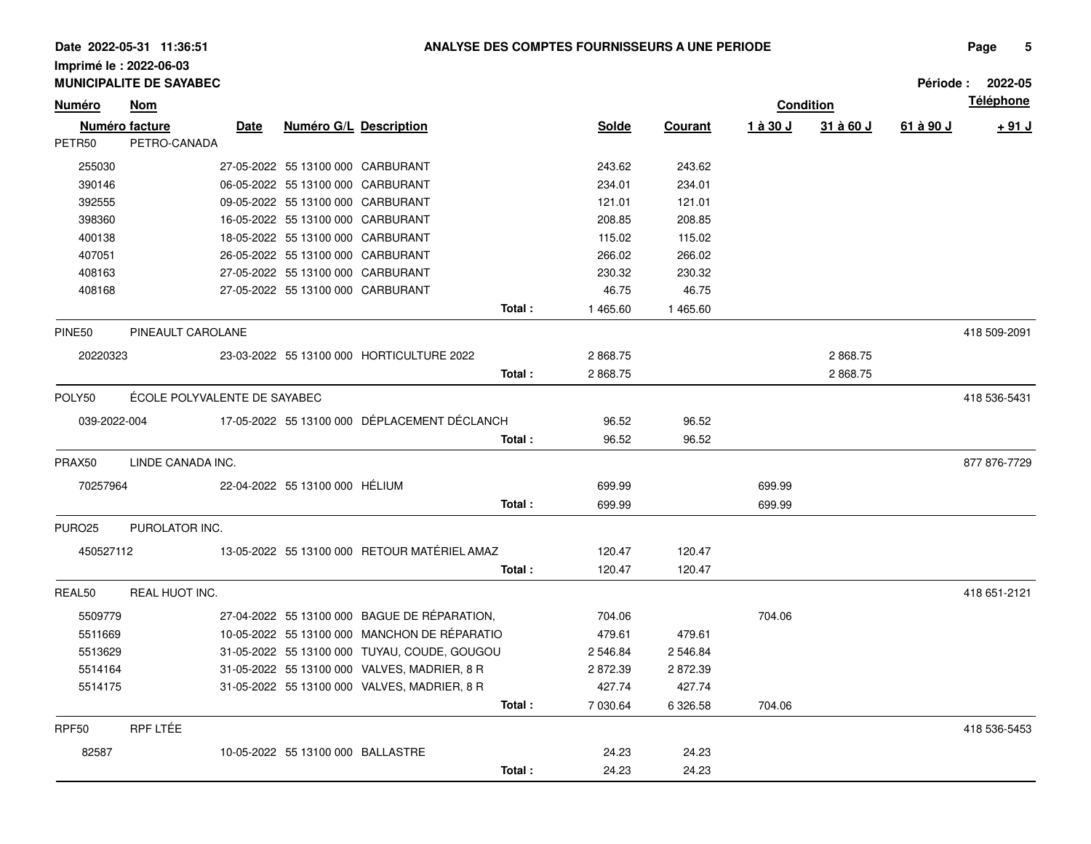|               | <b>MUNICIPALITE DE SAYABEC</b> |      |                                   |                                              |        |              |                |          |                  |           | Période: 2022-05 |
|---------------|--------------------------------|------|-----------------------------------|----------------------------------------------|--------|--------------|----------------|----------|------------------|-----------|------------------|
| <b>Numéro</b> | <b>Nom</b>                     |      |                                   |                                              |        |              |                |          | <b>Condition</b> |           | <b>Téléphone</b> |
|               | Numéro facture                 | Date | <b>Numéro G/L Description</b>     |                                              |        | <b>Solde</b> | <b>Courant</b> | 1 à 30 J | 31 à 60 J        | 61 à 90 J | $+91$ J          |
| PETR50        | PETRO-CANADA                   |      |                                   |                                              |        |              |                |          |                  |           |                  |
| 255030        |                                |      | 27-05-2022 55 13100 000 CARBURANT |                                              |        | 243.62       | 243.62         |          |                  |           |                  |
| 390146        |                                |      | 06-05-2022 55 13100 000 CARBURANT |                                              |        | 234.01       | 234.01         |          |                  |           |                  |
| 392555        |                                |      | 09-05-2022 55 13100 000 CARBURANT |                                              |        | 121.01       | 121.01         |          |                  |           |                  |
| 398360        |                                |      | 16-05-2022 55 13100 000 CARBURANT |                                              |        | 208.85       | 208.85         |          |                  |           |                  |
| 400138        |                                |      | 18-05-2022 55 13100 000 CARBURANT |                                              |        | 115.02       | 115.02         |          |                  |           |                  |
| 407051        |                                |      | 26-05-2022 55 13100 000 CARBURANT |                                              |        | 266.02       | 266.02         |          |                  |           |                  |
| 408163        |                                |      | 27-05-2022 55 13100 000 CARBURANT |                                              |        | 230.32       | 230.32         |          |                  |           |                  |
| 408168        |                                |      | 27-05-2022 55 13100 000 CARBURANT |                                              |        | 46.75        | 46.75          |          |                  |           |                  |
|               |                                |      |                                   |                                              | Total: | 1 465.60     | 1465.60        |          |                  |           |                  |
| PINE50        | PINEAULT CAROLANE              |      |                                   |                                              |        |              |                |          |                  |           | 418 509-2091     |
| 20220323      |                                |      |                                   | 23-03-2022 55 13100 000 HORTICULTURE 2022    |        | 2868.75      |                |          | 2868.75          |           |                  |
|               |                                |      |                                   |                                              | Total: | 2868.75      |                |          | 2868.75          |           |                  |
| POLY50        | ÉCOLE POLYVALENTE DE SAYABEC   |      |                                   |                                              |        |              |                |          |                  |           | 418 536-5431     |
| 039-2022-004  |                                |      |                                   | 17-05-2022 55 13100 000 DÉPLACEMENT DÉCLANCH |        | 96.52        | 96.52          |          |                  |           |                  |
|               |                                |      |                                   |                                              | Total: | 96.52        | 96.52          |          |                  |           |                  |
| PRAX50        | LINDE CANADA INC.              |      |                                   |                                              |        |              |                |          |                  |           | 877 876-7729     |
|               |                                |      |                                   |                                              |        |              |                |          |                  |           |                  |
| 70257964      |                                |      | 22-04-2022 55 13100 000 HÉLIUM    |                                              |        | 699.99       |                | 699.99   |                  |           |                  |
|               |                                |      |                                   |                                              | Total: | 699.99       |                | 699.99   |                  |           |                  |
| <b>PURO25</b> | PUROLATOR INC.                 |      |                                   |                                              |        |              |                |          |                  |           |                  |
| 450527112     |                                |      |                                   | 13-05-2022 55 13100 000 RETOUR MATÉRIEL AMAZ |        | 120.47       | 120.47         |          |                  |           |                  |
|               |                                |      |                                   |                                              | Total: | 120.47       | 120.47         |          |                  |           |                  |
| REAL50        | REAL HUOT INC.                 |      |                                   |                                              |        |              |                |          |                  |           | 418 651-2121     |
| 5509779       |                                |      |                                   | 27-04-2022 55 13100 000 BAGUE DE RÉPARATION, |        | 704.06       |                | 704.06   |                  |           |                  |
| 5511669       |                                |      |                                   | 10-05-2022 55 13100 000 MANCHON DE RÉPARATIO |        | 479.61       | 479.61         |          |                  |           |                  |
| 5513629       |                                |      |                                   | 31-05-2022 55 13100 000 TUYAU, COUDE, GOUGOU |        | 2 546.84     | 2 546.84       |          |                  |           |                  |
| 5514164       |                                |      |                                   | 31-05-2022 55 13100 000 VALVES, MADRIER, 8 R |        | 2872.39      | 2872.39        |          |                  |           |                  |
| 5514175       |                                |      |                                   | 31-05-2022 55 13100 000 VALVES, MADRIER, 8 R |        | 427.74       | 427.74         |          |                  |           |                  |
|               |                                |      |                                   |                                              | Total: | 7 030.64     | 6 326.58       | 704.06   |                  |           |                  |
| RPF50         | RPF LTÉE                       |      |                                   |                                              |        |              |                |          |                  |           | 418 536-5453     |
| 82587         |                                |      | 10-05-2022 55 13100 000 BALLASTRE |                                              |        | 24.23        | 24.23          |          |                  |           |                  |
|               |                                |      |                                   |                                              | Total: | 24.23        | 24.23          |          |                  |           |                  |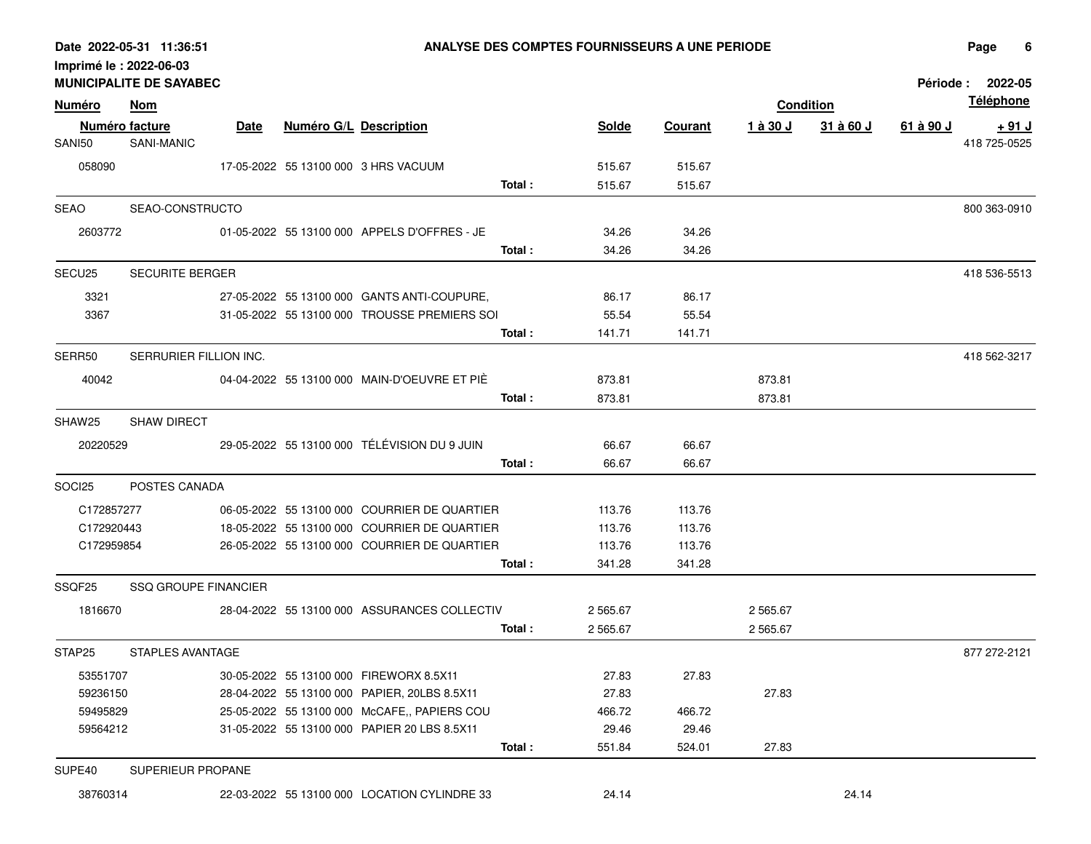|               | <b>MUNICIPALITE DE SAYABEC</b> |             |                               |                                                        |                |                |          |                  |                  | Période: 2022-05 |
|---------------|--------------------------------|-------------|-------------------------------|--------------------------------------------------------|----------------|----------------|----------|------------------|------------------|------------------|
| <u>Numéro</u> | Nom                            |             |                               |                                                        |                |                |          | <b>Condition</b> |                  | <u>Téléphone</u> |
|               | Numéro facture                 | <b>Date</b> | <b>Numéro G/L Description</b> |                                                        | Solde          | <b>Courant</b> | 1 à 30 J | 31 à 60 J        | <u>61 à 90 J</u> | <u>+ 91 J</u>    |
| SANI50        | SANI-MANIC                     |             |                               |                                                        |                |                |          |                  |                  | 418 725-0525     |
| 058090        |                                |             |                               | 17-05-2022 55 13100 000 3 HRS VACUUM                   | 515.67         | 515.67         |          |                  |                  |                  |
|               |                                |             |                               | Total:                                                 | 515.67         | 515.67         |          |                  |                  |                  |
|               | SEAO SEAO-CONSTRUCTO           |             |                               |                                                        |                |                |          |                  |                  | 800 363-0910     |
| 2603772       |                                |             |                               | 01-05-2022 55 13100 000 APPELS D'OFFRES - JE           | 34.26          | 34.26          |          |                  |                  |                  |
|               |                                |             |                               | Total :                                                | 34.26          | 34.26          |          |                  |                  |                  |
| SECU25        | <b>SECURITE BERGER</b>         |             |                               |                                                        |                |                |          |                  |                  | 418 536-5513     |
| 3321          |                                |             |                               | 27-05-2022 55 13100 000 GANTS ANTI-COUPURE,            | 86.17          | 86.17          |          |                  |                  |                  |
| 3367          |                                |             |                               | 31-05-2022 55 13100 000 TROUSSE PREMIERS SOI           | 55.54          | 55.54          |          |                  |                  |                  |
|               |                                |             |                               | Total :                                                | 141.71         | 141.71         |          |                  |                  |                  |
| SERR50        | SERRURIER FILLION INC.         |             |                               |                                                        |                |                |          |                  |                  | 418 562-3217     |
| 40042         |                                |             |                               | 04-04-2022 55 13100 000 MAIN-D'OEUVRE ET PIÉ           | 873.81         |                | 873.81   |                  |                  |                  |
|               |                                |             |                               | Total:                                                 | 873.81         |                | 873.81   |                  |                  |                  |
| SHAW25        | <b>SHAW DIRECT</b>             |             |                               |                                                        |                |                |          |                  |                  |                  |
|               |                                |             |                               |                                                        |                |                |          |                  |                  |                  |
| 20220529      |                                |             |                               | 29-05-2022 55 13100 000 TÉLÉVISION DU 9 JUIN<br>Total: | 66.67<br>66.67 | 66.67<br>66.67 |          |                  |                  |                  |
|               |                                |             |                               |                                                        |                |                |          |                  |                  |                  |
| SOCI25        | POSTES CANADA                  |             |                               |                                                        |                |                |          |                  |                  |                  |
| C172857277    |                                |             |                               | 06-05-2022 55 13100 000 COURRIER DE QUARTIER           | 113.76         | 113.76         |          |                  |                  |                  |
| C172920443    |                                |             |                               | 18-05-2022 55 13100 000 COURRIER DE QUARTIER           | 113.76         | 113.76         |          |                  |                  |                  |
| C172959854    |                                |             |                               | 26-05-2022 55 13100 000 COURRIER DE QUARTIER           | 113.76         | 113.76         |          |                  |                  |                  |
|               |                                |             |                               | Total :                                                | 341.28         | 341.28         |          |                  |                  |                  |
| SSQF25        | <b>SSQ GROUPE FINANCIER</b>    |             |                               |                                                        |                |                |          |                  |                  |                  |
| 1816670       |                                |             |                               | 28-04-2022 55 13100 000 ASSURANCES COLLECTIV           | 2 5 6 5.6 7    |                | 2 565.67 |                  |                  |                  |
|               |                                |             |                               | Total:                                                 | 2 565.67       |                | 2 565.67 |                  |                  |                  |
| STAP25        | STAPLES AVANTAGE               |             |                               |                                                        |                |                |          |                  |                  | 877 272-2121     |
| 53551707      |                                |             |                               | 30-05-2022 55 13100 000 FIREWORX 8.5X11                | 27.83          | 27.83          |          |                  |                  |                  |
| 59236150      |                                |             |                               | 28-04-2022 55 13100 000 PAPIER, 20LBS 8.5X11           | 27.83          |                | 27.83    |                  |                  |                  |
| 59495829      |                                |             |                               | 25-05-2022 55 13100 000 McCAFE, PAPIERS COU            | 466.72         | 466.72         |          |                  |                  |                  |
| 59564212      |                                |             |                               | 31-05-2022 55 13100 000 PAPIER 20 LBS 8.5X11           | 29.46          | 29.46          |          |                  |                  |                  |
|               |                                |             |                               | Total:                                                 | 551.84         | 524.01         | 27.83    |                  |                  |                  |
| SUPE40        | SUPERIEUR PROPANE              |             |                               |                                                        |                |                |          |                  |                  |                  |
| 38760314      |                                |             |                               | 22-03-2022 55 13100 000 LOCATION CYLINDRE 33           | 24.14          |                |          | 24.14            |                  |                  |